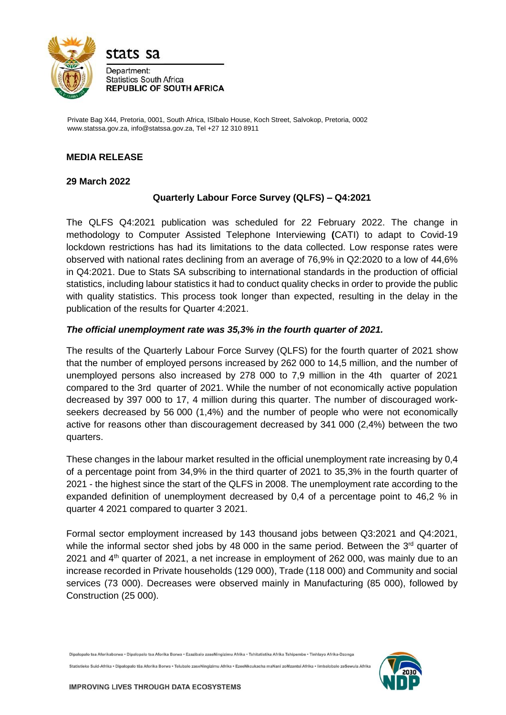

Private Bag X44, Pretoria, 0001, South Africa, ISIbalo House, Koch Street, Salvokop, Pretoria, 0002 www.statssa.gov.za, info@statssa.gov.za, Tel +27 12 310 8911

# **MEDIA RELEASE**

#### **29 March 2022**

# **Quarterly Labour Force Survey (QLFS) – Q4:2021**

The QLFS Q4:2021 publication was scheduled for 22 February 2022. The change in methodology to Computer Assisted Telephone Interviewing **(**CATI) to adapt to Covid-19 lockdown restrictions has had its limitations to the data collected. Low response rates were observed with national rates declining from an average of 76,9% in Q2:2020 to a low of 44,6% in Q4:2021. Due to Stats SA subscribing to international standards in the production of official statistics, including labour statistics it had to conduct quality checks in order to provide the public with quality statistics. This process took longer than expected, resulting in the delay in the publication of the results for Quarter 4:2021.

### *The official unemployment rate was 35,3% in the fourth quarter of 2021.*

The results of the Quarterly Labour Force Survey (QLFS) for the fourth quarter of 2021 show that the number of employed persons increased by 262 000 to 14,5 million, and the number of unemployed persons also increased by 278 000 to 7,9 million in the 4th quarter of 2021 compared to the 3rd quarter of 2021. While the number of not economically active population decreased by 397 000 to 17, 4 million during this quarter. The number of discouraged workseekers decreased by 56 000 (1,4%) and the number of people who were not economically active for reasons other than discouragement decreased by 341 000 (2,4%) between the two quarters.

These changes in the labour market resulted in the official unemployment rate increasing by 0,4 of a percentage point from 34,9% in the third quarter of 2021 to 35,3% in the fourth quarter of 2021 - the highest since the start of the QLFS in 2008. The unemployment rate according to the expanded definition of unemployment decreased by 0,4 of a percentage point to 46,2 % in quarter 4 2021 compared to quarter 3 2021.

Formal sector employment increased by 143 thousand jobs between Q3:2021 and Q4:2021, while the informal sector shed jobs by 48 000 in the same period. Between the  $3<sup>rd</sup>$  quarter of 2021 and  $4<sup>th</sup>$  quarter of 2021, a net increase in employment of 262 000, was mainly due to an increase recorded in Private households (129 000), Trade (118 000) and Community and social services (73 000). Decreases were observed mainly in Manufacturing (85 000), followed by Construction (25 000).

Dipalopalo tsa Aforikaborwa • Dipalopalo tsa Aforika Borwa • Ezazibalo zaseNingizimu Afrika • Tshitatistika Afrika Tshipembe • Tinhlavo Afrika-Dzonga

Statistieke Suid-Afrika . Dipalopalo tša Aforika Borwa . Telubalo zaseNingizimu Afrika . EzeeNkcukacha maNani zoMzantsi Afrika . limbalobalo zeSewula Afrika